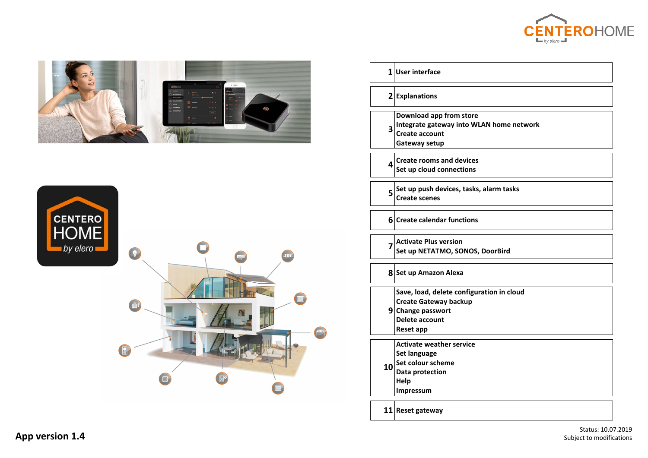







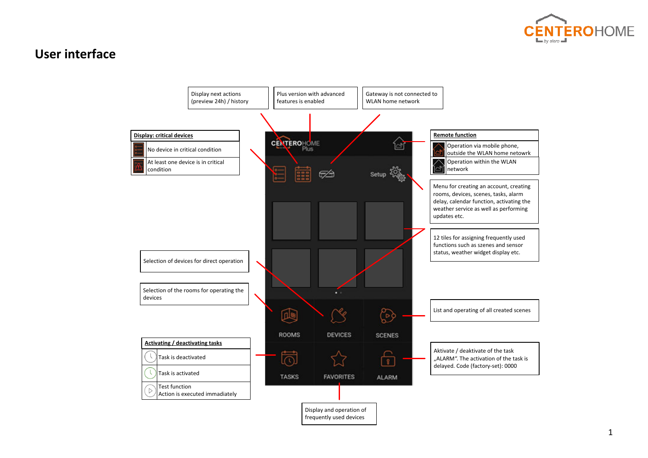

## **User interface**

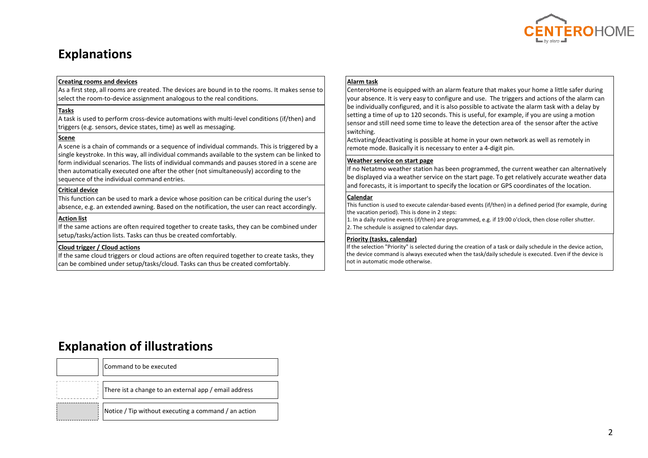

## **Explanations**

#### **Creating rooms and devices**

As a first step, all rooms are created. The devices are bound in to the rooms. It makes sense to select the room-to-device assignment analogous to the real conditions.

#### **Tasks**

A task is used to perform cross-device automations with multi-level conditions (if/then) and triggers (e.g. sensors, device states, time) as well as messaging.

### **Scene**

A scene is a chain of commands or a sequence of individual commands. This is triggered by a single keystroke. In this way, all individual commands available to the system can be linked to form individual scenarios. The lists of individual commands and pauses stored in a scene are then automatically executed one after the other (not simultaneously) according to the sequence of the individual command entries.

### **Critical device**

This function can be used to mark a device whose position can be critical during the user's absence, e.g. an extended awning. Based on the notification, the user can react accordingly.

### **Action list**

If the same actions are often required together to create tasks, they can be combined under setup/tasks/action lists. Tasks can thus be created comfortably.

### **Cloud trigger / Cloud actions**

If the same cloud triggers or cloud actions are often required together to create tasks, they can be combined under setup/tasks/cloud. Tasks can thus be created comfortably.

### **Alarm task**

CenteroHome is equipped with an alarm feature that makes your home a little safer during your absence. It is very easy to configure and use. The triggers and actions of the alarm can be individually configured, and it is also possible to activate the alarm task with a delay by setting a time of up to 120 seconds. This is useful, for example, if you are using a motion sensor and still need some time to leave the detection area of the sensor after the active switching.

Activating/deactivating is possible at home in your own network as well as remotely in remote mode. Basically it is necessary to enter a 4-digit pin.

### **Weather service on start page**

If no Netatmo weather station has been programmed, the current weather can alternatively be displayed via a weather service on the start page. To get relatively accurate weather data and forecasts, it is important to specify the location or GPS coordinates of the location.

#### **Calendar**

This function is used to execute calendar-based events (if/then) in a defined period (for example, during the vacation period). This is done in 2 steps:

1. In a daily routine events (if/then) are programmed, e.g. if 19:00 o'clock, then close roller shutter. 2. The schedule is assigned to calendar days.

### **Priority (tasks, calendar)**

If the selection "Priority" is selected during the creation of a task or daily schedule in the device action, the device command is always executed when the task/daily schedule is executed. Even if the device is not in automatic mode otherwise.

## **Explanation of illustrations**

| Command to be executed                                |
|-------------------------------------------------------|
| There ist a change to an external app / email address |
| Notice / Tip without executing a command / an action  |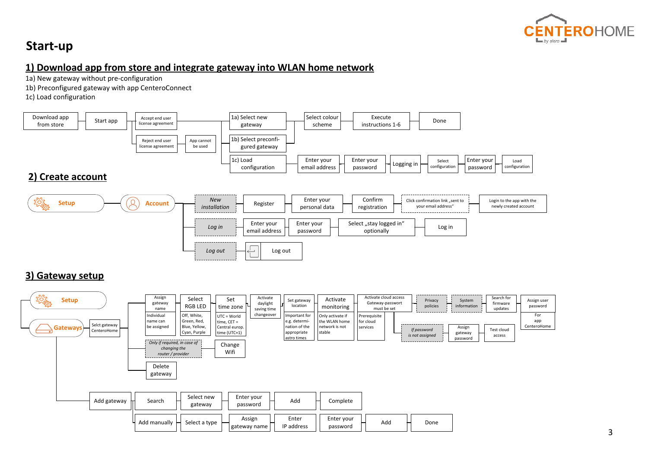

# **Start-up**

### **1) Download app from store and integrate gateway into WLAN home network**

1a) New gateway without pre-configuration

1b) Preconfigured gateway with app CenteroConnect

1c) Load configuration



### **3) Gateway setup**

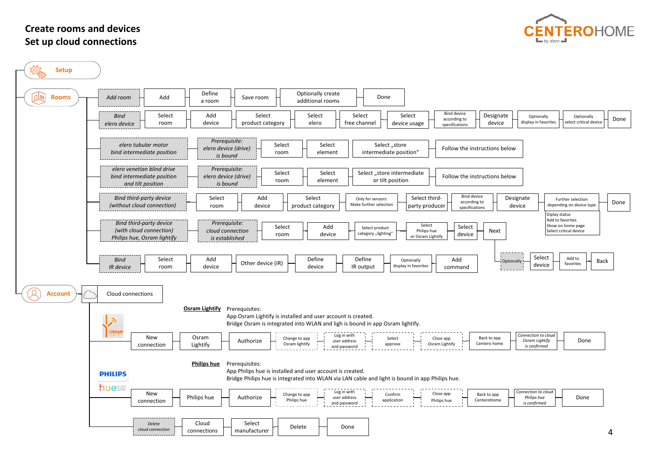### **Create rooms and devicesSet up cloud connections**



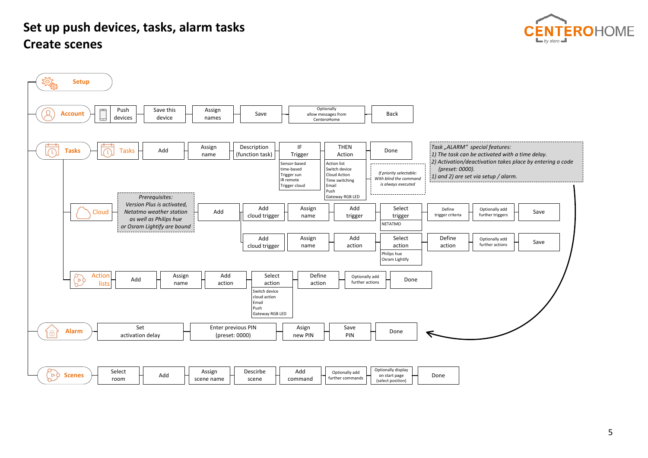# **Set up push devices, tasks, alarm tasks Create scenes**



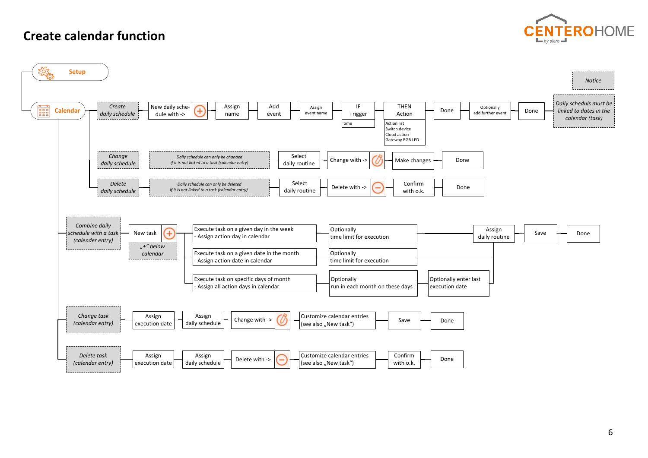## **Create calendar function**



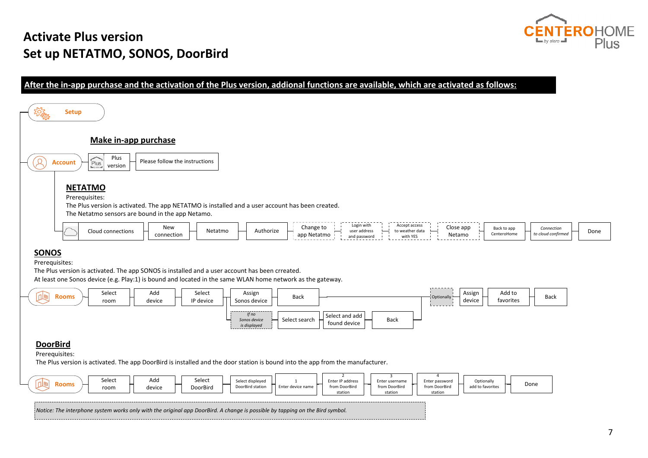## **Activate Plus version Set up NETATMO, SONOS, DoorBird**



### **After the in-app purchase and the activation of the Plus version, addional functions are available, which are activated as follows:**

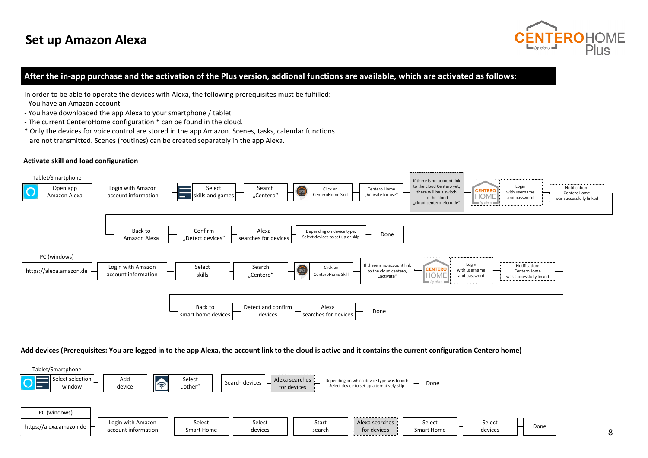

### **After the in-app purchase and the activation of the Plus version, addional functions are available, which are activated as follows:**

In order to be able to operate the devices with Alexa, the following prerequisites must be fulfilled:

- You have an Amazon account
- You have downloaded the app Alexa to your smartphone / tablet
- The current CenteroHome configuration \* can be found in the cloud.
- \* Only the devices for voice control are stored in the app Amazon. Scenes, tasks, calendar functions are not transmitted. Scenes (routines) can be created separately in the app Alexa.

### **Activate skill and load configuration**



### **Add devices (Prerequisites: You are logged in to the app Alexa, the account link to the cloud is active and it contains the current configuration Centero home)**

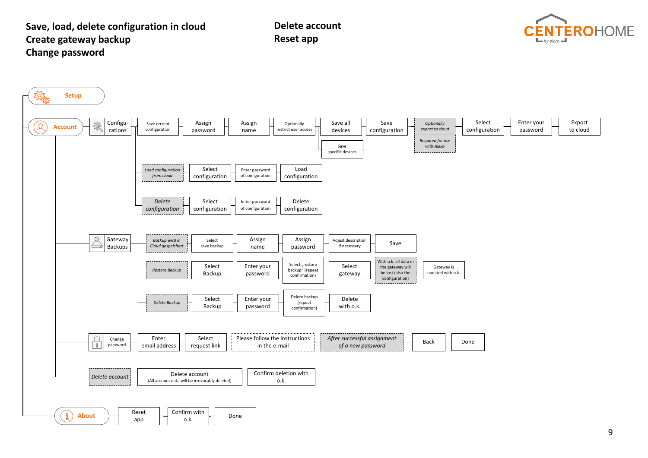### **Save, load, delete configuration in cloud Create gateway backup Change password**

**Delete accountReset app**



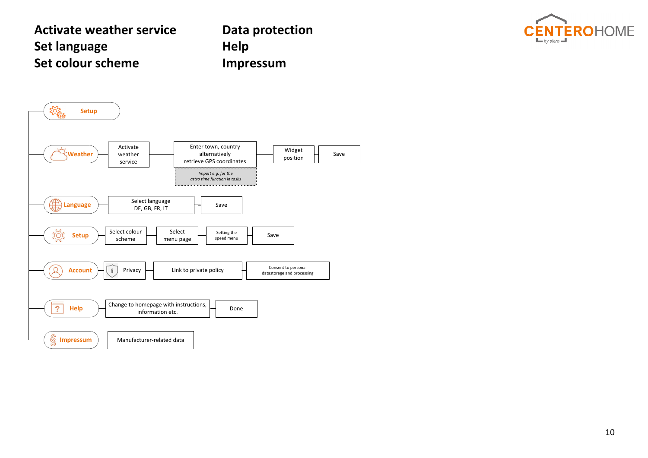# **Activate weather serviceSet language Set colour scheme**

**Data protection Help Impressum**